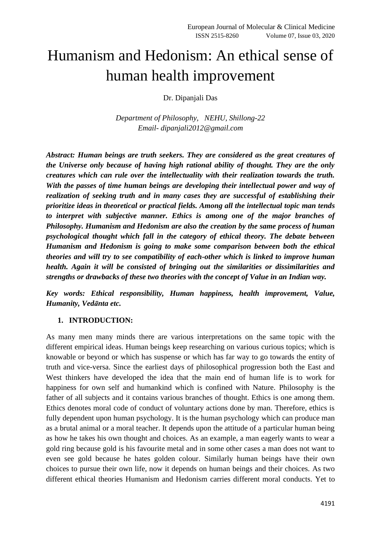# Humanism and Hedonism: An ethical sense of human health improvement

Dr. Dipanjali Das

*Department of Philosophy, NEHU, Shillong-22 Email- dipanjali2012@gmail.com*

*Abstract: Human beings are truth seekers. They are considered as the great creatures of the Universe only because of having high rational ability of thought. They are the only creatures which can rule over the intellectuality with their realization towards the truth. With the passes of time human beings are developing their intellectual power and way of realization of seeking truth and in many cases they are successful of establishing their prioritize ideas in theoretical or practical fields. Among all the intellectual topic man tends to interpret with subjective manner. Ethics is among one of the major branches of Philosophy. Humanism and Hedonism are also the creation by the same process of human psychological thought which fall in the category of ethical theory. The debate between Humanism and Hedonism is going to make some comparison between both the ethical theories and will try to see compatibility of each-other which is linked to improve human health. Again it will be consisted of bringing out the similarities or dissimilarities and strengths or drawbacks of these two theories with the concept of Value in an Indian way.*

*Key words: Ethical responsibility, Human happiness, health improvement, Value, Humanity, Vedānta etc.*

#### **1. INTRODUCTION:**

As many men many minds there are various interpretations on the same topic with the different empirical ideas. Human beings keep researching on various curious topics; which is knowable or beyond or which has suspense or which has far way to go towards the entity of truth and vice-versa. Since the earliest days of philosophical progression both the East and West thinkers have developed the idea that the main end of human life is to work for happiness for own self and humankind which is confined with Nature. Philosophy is the father of all subjects and it contains various branches of thought. Ethics is one among them. Ethics denotes moral code of conduct of voluntary actions done by man. Therefore, ethics is fully dependent upon human psychology. It is the human psychology which can produce man as a brutal animal or a moral teacher. It depends upon the attitude of a particular human being as how he takes his own thought and choices. As an example, a man eagerly wants to wear a gold ring because gold is his favourite metal and in some other cases a man does not want to even see gold because he hates golden colour. Similarly human beings have their own choices to pursue their own life, now it depends on human beings and their choices. As two different ethical theories Humanism and Hedonism carries different moral conducts. Yet to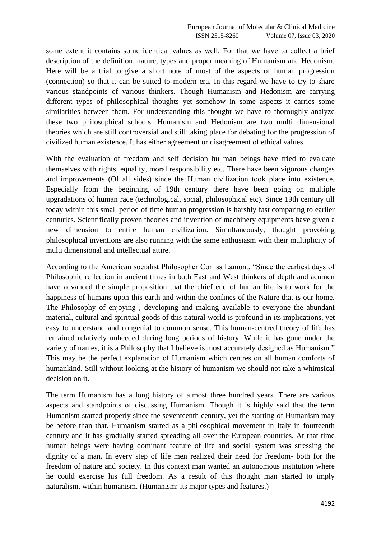some extent it contains some identical values as well. For that we have to collect a brief description of the definition, nature, types and proper meaning of Humanism and Hedonism. Here will be a trial to give a short note of most of the aspects of human progression (connection) so that it can be suited to modern era. In this regard we have to try to share various standpoints of various thinkers. Though Humanism and Hedonism are carrying different types of philosophical thoughts yet somehow in some aspects it carries some similarities between them. For understanding this thought we have to thoroughly analyze these two philosophical schools. Humanism and Hedonism are two multi dimensional theories which are still controversial and still taking place for debating for the progression of civilized human existence. It has either agreement or disagreement of ethical values.

With the evaluation of freedom and self decision hu man beings have tried to evaluate themselves with rights, equality, moral responsibility etc. There have been vigorous changes and improvements (Of all sides) since the Human civilization took place into existence. Especially from the beginning of 19th century there have been going on multiple upgradations of human race (technological, social, philosophical etc). Since 19th century till today within this small period of time human progression is harshly fast comparing to earlier centuries. Scientifically proven theories and invention of machinery equipments have given a new dimension to entire human civilization. Simultaneously, thought provoking philosophical inventions are also running with the same enthusiasm with their multiplicity of multi dimensional and intellectual attire.

According to the American socialist Philosopher Corliss Lamont, "Since the earliest days of Philosophic reflection in ancient times in both East and West thinkers of depth and acumen have advanced the simple proposition that the chief end of human life is to work for the happiness of humans upon this earth and within the confines of the Nature that is our home. The Philosophy of enjoying , developing and making available to everyone the abundant material, cultural and spiritual goods of this natural world is profound in its implications, yet easy to understand and congenial to common sense. This human-centred theory of life has remained relatively unheeded during long periods of history. While it has gone under the variety of names, it is a Philosophy that I believe is most accurately designed as Humanism." This may be the perfect explanation of Humanism which centres on all human comforts of humankind. Still without looking at the history of humanism we should not take a whimsical decision on it.

The term Humanism has a long history of almost three hundred years. There are various aspects and standpoints of discussing Humanism. Though it is highly said that the term Humanism started properly since the seventeenth century, yet the starting of Humanism may be before than that. Humanism started as a philosophical movement in Italy in fourteenth century and it has gradually started spreading all over the European countries. At that time human beings were having dominant feature of life and social system was stressing the dignity of a man. In every step of life men realized their need for freedom- both for the freedom of nature and society. In this context man wanted an autonomous institution where he could exercise his full freedom. As a result of this thought man started to imply naturalism, within humanism. (Humanism: its major types and features.)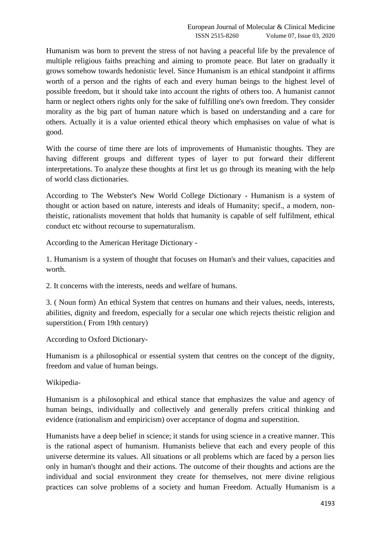Humanism was born to prevent the stress of not having a peaceful life by the prevalence of multiple religious faiths preaching and aiming to promote peace. But later on gradually it grows somehow towards hedonistic level. Since Humanism is an ethical standpoint it affirms worth of a person and the rights of each and every human beings to the highest level of possible freedom, but it should take into account the rights of others too. A humanist cannot harm or neglect others rights only for the sake of fulfilling one's own freedom. They consider morality as the big part of human nature which is based on understanding and a care for others. Actually it is a value oriented ethical theory which emphasises on value of what is good.

With the course of time there are lots of improvements of Humanistic thoughts. They are having different groups and different types of layer to put forward their different interpretations. To analyze these thoughts at first let us go through its meaning with the help of world class dictionaries.

According to The Webster's New World College Dictionary - Humanism is a system of thought or action based on nature, interests and ideals of Humanity; specif., a modern, nontheistic, rationalists movement that holds that humanity is capable of self fulfilment, ethical conduct etc without recourse to supernaturalism.

According to the American Heritage Dictionary -

1. Humanism is a system of thought that focuses on Human's and their values, capacities and worth.

2. It concerns with the interests, needs and welfare of humans.

3. ( Noun form) An ethical System that centres on humans and their values, needs, interests, abilities, dignity and freedom, especially for a secular one which rejects theistic religion and superstition.( From 19th century)

According to Oxford Dictionary-

Humanism is a philosophical or essential system that centres on the concept of the dignity, freedom and value of human beings.

Wikipedia-

Humanism is a philosophical and ethical stance that emphasizes the value and agency of human beings, individually and collectively and generally prefers critical thinking and evidence (rationalism and empiricism) over acceptance of dogma and superstition.

Humanists have a deep belief in science; it stands for using science in a creative manner. This is the rational aspect of humanism. Humanists believe that each and every people of this universe determine its values. All situations or all problems which are faced by a person lies only in human's thought and their actions. The outcome of their thoughts and actions are the individual and social environment they create for themselves, not mere divine religious practices can solve problems of a society and human Freedom. Actually Humanism is a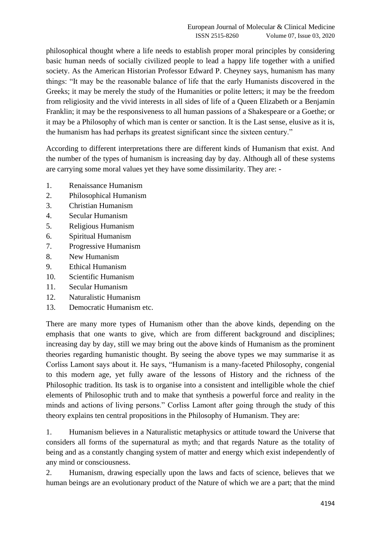philosophical thought where a life needs to establish proper moral principles by considering basic human needs of socially civilized people to lead a happy life together with a unified society. As the American Historian Professor Edward P. Cheyney says, humanism has many things: "It may be the reasonable balance of life that the early Humanists discovered in the Greeks; it may be merely the study of the Humanities or polite letters; it may be the freedom from religiosity and the vivid interests in all sides of life of a Queen Elizabeth or a Benjamin Franklin; it may be the responsiveness to all human passions of a Shakespeare or a Goethe; or it may be a Philosophy of which man is center or sanction. It is the Last sense, elusive as it is, the humanism has had perhaps its greatest significant since the sixteen century."

According to different interpretations there are different kinds of Humanism that exist. And the number of the types of humanism is increasing day by day. Although all of these systems are carrying some moral values yet they have some dissimilarity. They are: -

- 1. Renaissance Humanism
- 2. Philosophical Humanism
- 3. Christian Humanism
- 4. Secular Humanism
- 5. Religious Humanism
- 6. Spiritual Humanism
- 7. Progressive Humanism
- 8. New Humanism
- 9. Ethical Humanism
- 10. Scientific Humanism
- 11. Secular Humanism
- 12. Naturalistic Humanism
- 13. Democratic Humanism etc.

There are many more types of Humanism other than the above kinds, depending on the emphasis that one wants to give, which are from different background and disciplines; increasing day by day, still we may bring out the above kinds of Humanism as the prominent theories regarding humanistic thought. By seeing the above types we may summarise it as Corliss Lamont says about it. He says, "Humanism is a many-faceted Philosophy, congenial to this modern age, yet fully aware of the lessons of History and the richness of the Philosophic tradition. Its task is to organise into a consistent and intelligible whole the chief elements of Philosophic truth and to make that synthesis a powerful force and reality in the minds and actions of living persons." Corliss Lamont after going through the study of this theory explains ten central propositions in the Philosophy of Humanism. They are:

1. Humanism believes in a Naturalistic metaphysics or attitude toward the Universe that considers all forms of the supernatural as myth; and that regards Nature as the totality of being and as a constantly changing system of matter and energy which exist independently of any mind or consciousness.

2. Humanism, drawing especially upon the laws and facts of science, believes that we human beings are an evolutionary product of the Nature of which we are a part; that the mind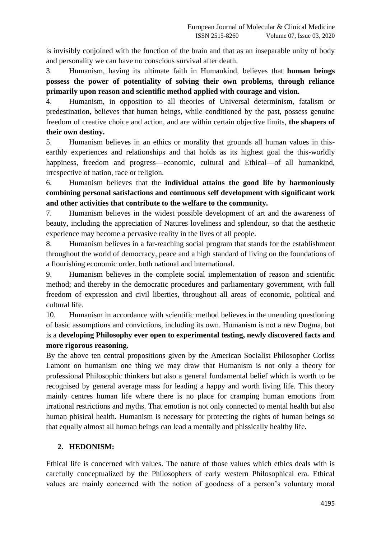is invisibly conjoined with the function of the brain and that as an inseparable unity of body and personality we can have no conscious survival after death.

3. Humanism, having its ultimate faith in Humankind, believes that **human beings possess the power of potentiality of solving their own problems, through reliance primarily upon reason and scientific method applied with courage and vision.**

4. Humanism, in opposition to all theories of Universal determinism, fatalism or predestination, believes that human beings, while conditioned by the past, possess genuine freedom of creative choice and action, and are within certain objective limits, **the shapers of their own destiny.**

5. Humanism believes in an ethics or morality that grounds all human values in thisearthly experiences and relationships and that holds as its highest goal the this-worldly happiness, freedom and progress—economic, cultural and Ethical—of all humankind, irrespective of nation, race or religion.

6. Humanism believes that the **individual attains the good life by harmoniously combining personal satisfactions and continuous self development with significant work and other activities that contribute to the welfare to the community.**

7. Humanism believes in the widest possible development of art and the awareness of beauty, including the appreciation of Natures loveliness and splendour, so that the aesthetic experience may become a pervasive reality in the lives of all people.

8. Humanism believes in a far-reaching social program that stands for the establishment throughout the world of democracy, peace and a high standard of living on the foundations of a flourishing economic order, both national and international.

9. Humanism believes in the complete social implementation of reason and scientific method; and thereby in the democratic procedures and parliamentary government, with full freedom of expression and civil liberties, throughout all areas of economic, political and cultural life.

10. Humanism in accordance with scientific method believes in the unending questioning of basic assumptions and convictions, including its own. Humanism is not a new Dogma, but is a **developing Philosophy ever open to experimental testing, newly discovered facts and more rigorous reasoning.**

By the above ten central propositions given by the American Socialist Philosopher Corliss Lamont on humanism one thing we may draw that Humanism is not only a theory for professional Philosophic thinkers but also a general fundamental belief which is worth to be recognised by general average mass for leading a happy and worth living life. This theory mainly centres human life where there is no place for cramping human emotions from irrational restrictions and myths. That emotion is not only connected to mental health but also human phisical health. Humanism is necessary for protecting the rights of human beings so that equally almost all human beings can lead a mentally and phissically healthy life.

## **2. HEDONISM:**

Ethical life is concerned with values. The nature of those values which ethics deals with is carefully conceptualized by the Philosophers of early western Philosophical era. Ethical values are mainly concerned with the notion of goodness of a person's voluntary moral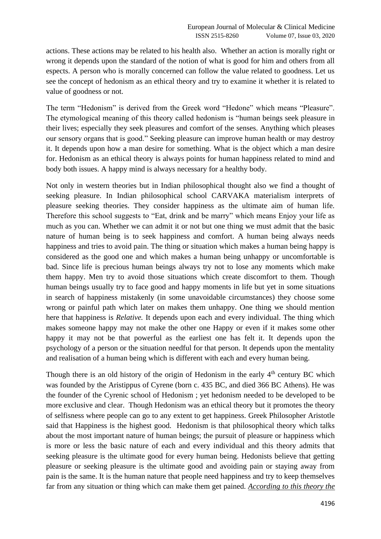actions. These actions may be related to his health also. Whether an action is morally right or wrong it depends upon the standard of the notion of what is good for him and others from all espects. A person who is morally concerned can follow the value related to goodness. Let us see the concept of hedonism as an ethical theory and try to examine it whether it is related to value of goodness or not.

The term "Hedonism" is derived from the Greek word "Hedone" which means "Pleasure". The etymological meaning of this theory called hedonism is "human beings seek pleasure in their lives; especially they seek pleasures and comfort of the senses. Anything which pleases our sensory organs that is good." Seeking pleasure can improve human health or may destroy it. It depends upon how a man desire for something. What is the object which a man desire for. Hedonism as an ethical theory is always points for human happiness related to mind and body both issues. A happy mind is always necessary for a healthy body.

Not only in western theories but in Indian philosophical thought also we find a thought of seeking pleasure. In Indian philosophical school CARVAKA materialism interprets of pleasure seeking theories. They consider happiness as the ultimate aim of human life. Therefore this school suggests to "Eat, drink and be marry" which means Enjoy your life as much as you can. Whether we can admit it or not but one thing we must admit that the basic nature of human being is to seek happiness and comfort. A human being always needs happiness and tries to avoid pain. The thing or situation which makes a human being happy is considered as the good one and which makes a human being unhappy or uncomfortable is bad. Since life is precious human beings always try not to lose any moments which make them happy. Men try to avoid those situations which create discomfort to them. Though human beings usually try to face good and happy moments in life but yet in some situations in search of happiness mistakenly (in some unavoidable circumstances) they choose some wrong or painful path which later on makes them unhappy. One thing we should mention here that happiness is *Relative.* It depends upon each and every individual. The thing which makes someone happy may not make the other one Happy or even if it makes some other happy it may not be that powerful as the earliest one has felt it. It depends upon the psychology of a person or the situation needful for that person. It depends upon the mentality and realisation of a human being which is different with each and every human being.

Though there is an old history of the origin of Hedonism in the early  $4<sup>th</sup>$  century BC which was founded by the Aristippus of Cyrene (born c. 435 BC, and died 366 BC Athens). He was the founder of the Cyrenic school of Hedonism ; yet hedonism needed to be developed to be more exclusive and clear. Though Hedonism was an ethical theory but it promotes the theory of selfisness where people can go to any extent to get happiness. Greek Philosopher Aristotle said that Happiness is the highest good. Hedonism is that philosophical theory which talks about the most important nature of human beings; the pursuit of pleasure or happiness which is more or less the basic nature of each and every individual and this theory admits that seeking pleasure is the ultimate good for every human being. Hedonists believe that getting pleasure or seeking pleasure is the ultimate good and avoiding pain or staying away from pain is the same. It is the human nature that people need happiness and try to keep themselves far from any situation or thing which can make them get pained. *According to this theory the*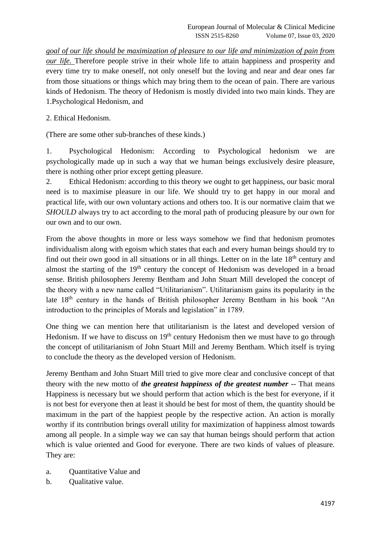*goal of our life should be maximization of pleasure to our life and minimization of pain from our life.* Therefore people strive in their whole life to attain happiness and prosperity and every time try to make oneself, not only oneself but the loving and near and dear ones far from those situations or things which may bring them to the ocean of pain. There are various kinds of Hedonism. The theory of Hedonism is mostly divided into two main kinds. They are 1.Psychological Hedonism, and

### 2. Ethical Hedonism.

(There are some other sub-branches of these kinds.)

1. Psychological Hedonism: According to Psychological hedonism we are psychologically made up in such a way that we human beings exclusively desire pleasure, there is nothing other prior except getting pleasure.

2. Ethical Hedonism: according to this theory we ought to get happiness, our basic moral need is to maximise pleasure in our life. We should try to get happy in our moral and practical life, with our own voluntary actions and others too. It is our normative claim that we *SHOULD* always try to act according to the moral path of producing pleasure by our own for our own and to our own.

From the above thoughts in more or less ways somehow we find that hedonism promotes individualism along with egoism which states that each and every human beings should try to find out their own good in all situations or in all things. Letter on in the late  $18<sup>th</sup>$  century and almost the starting of the  $19<sup>th</sup>$  century the concept of Hedonism was developed in a broad sense. British philosophers Jeremy Bentham and John Stuart Mill developed the concept of the theory with a new name called "Utilitarianism". Utilitarianism gains its popularity in the late 18th century in the hands of British philosopher Jeremy Bentham in his book "An introduction to the principles of Morals and legislation" in 1789.

One thing we can mention here that utilitarianism is the latest and developed version of Hedonism. If we have to discuss on  $19<sup>th</sup>$  century Hedonism then we must have to go through the concept of utilitarianism of John Stuart Mill and Jeremy Bentham. Which itself is trying to conclude the theory as the developed version of Hedonism.

Jeremy Bentham and John Stuart Mill tried to give more clear and conclusive concept of that theory with the new motto of *the greatest happiness of the greatest number* -- That means Happiness is necessary but we should perform that action which is the best for everyone, if it is not best for everyone then at least it should be best for most of them, the quantity should be maximum in the part of the happiest people by the respective action. An action is morally worthy if its contribution brings overall utility for maximization of happiness almost towards among all people. In a simple way we can say that human beings should perform that action which is value oriented and Good for everyone. There are two kinds of values of pleasure. They are:

- a. Quantitative Value and
- b. Qualitative value.